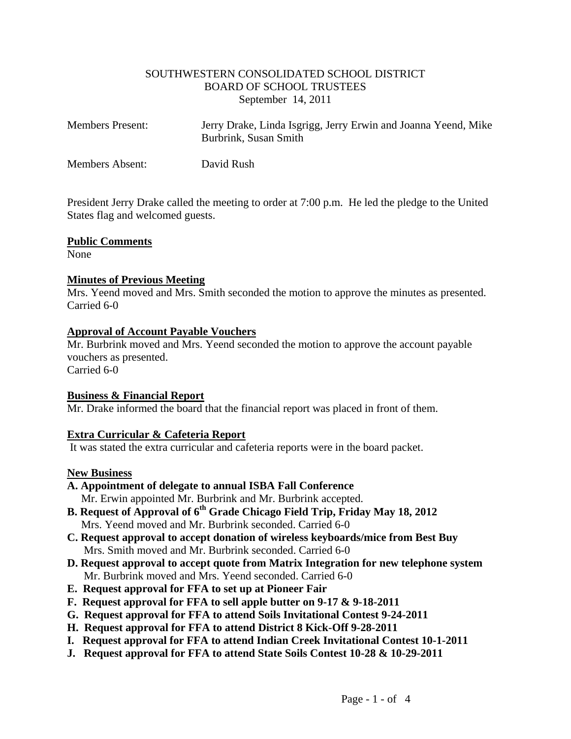#### SOUTHWESTERN CONSOLIDATED SCHOOL DISTRICT BOARD OF SCHOOL TRUSTEES September 14, 2011

| <b>Members Present:</b> | Jerry Drake, Linda Isgrigg, Jerry Erwin and Joanna Yeend, Mike<br>Burbrink, Susan Smith |
|-------------------------|-----------------------------------------------------------------------------------------|
| Members Absent:         | David Rush                                                                              |

President Jerry Drake called the meeting to order at 7:00 p.m. He led the pledge to the United States flag and welcomed guests.

#### **Public Comments**

None

## **Minutes of Previous Meeting**

Mrs. Yeend moved and Mrs. Smith seconded the motion to approve the minutes as presented. Carried 6-0

#### **Approval of Account Payable Vouchers**

Mr. Burbrink moved and Mrs. Yeend seconded the motion to approve the account payable vouchers as presented. Carried 6-0

## **Business & Financial Report**

Mr. Drake informed the board that the financial report was placed in front of them.

## **Extra Curricular & Cafeteria Report**

It was stated the extra curricular and cafeteria reports were in the board packet.

#### **New Business**

- **A. Appointment of delegate to annual ISBA Fall Conference** Mr. Erwin appointed Mr. Burbrink and Mr. Burbrink accepted.
- **B. Request of Approval of 6th Grade Chicago Field Trip, Friday May 18, 2012** Mrs. Yeend moved and Mr. Burbrink seconded. Carried 6-0
- **C. Request approval to accept donation of wireless keyboards/mice from Best Buy** Mrs. Smith moved and Mr. Burbrink seconded. Carried 6-0
- **D. Request approval to accept quote from Matrix Integration for new telephone system** Mr. Burbrink moved and Mrs. Yeend seconded. Carried 6-0
- **E. Request approval for FFA to set up at Pioneer Fair**
- **F. Request approval for FFA to sell apple butter on 9-17 & 9-18-2011**
- **G. Request approval for FFA to attend Soils Invitational Contest 9-24-2011**
- **H. Request approval for FFA to attend District 8 Kick-Off 9-28-2011**
- **I. Request approval for FFA to attend Indian Creek Invitational Contest 10-1-2011**
- **J. Request approval for FFA to attend State Soils Contest 10-28 & 10-29-2011**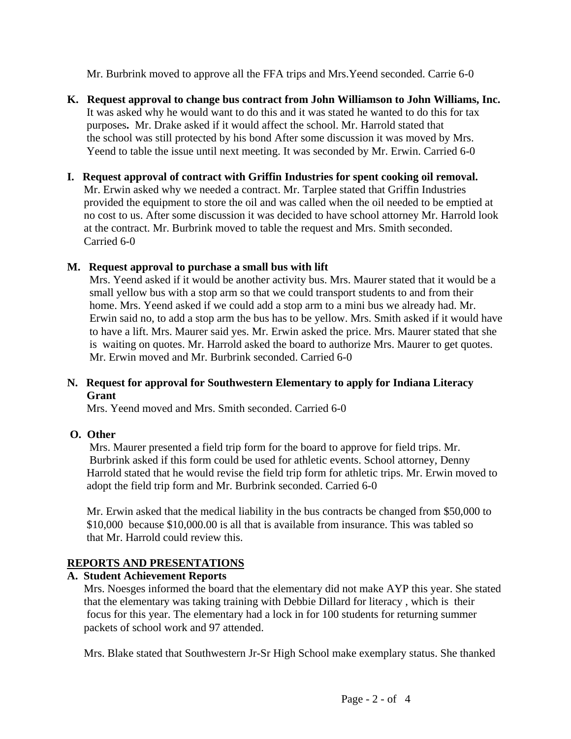Mr. Burbrink moved to approve all the FFA trips and Mrs.Yeend seconded. Carrie 6-0

- **K. Request approval to change bus contract from John Williamson to John Williams, Inc.** It was asked why he would want to do this and it was stated he wanted to do this for tax purposes**.** Mr. Drake asked if it would affect the school. Mr. Harrold stated that the school was still protected by his bond After some discussion it was moved by Mrs. Yeend to table the issue until next meeting. It was seconded by Mr. Erwin. Carried 6-0
- **I. Request approval of contract with Griffin Industries for spent cooking oil removal.** Mr. Erwin asked why we needed a contract. Mr. Tarplee stated that Griffin Industries provided the equipment to store the oil and was called when the oil needed to be emptied at no cost to us. After some discussion it was decided to have school attorney Mr. Harrold look at the contract. Mr. Burbrink moved to table the request and Mrs. Smith seconded. Carried 6-0

# **M. Request approval to purchase a small bus with lift**

Mrs. Yeend asked if it would be another activity bus. Mrs. Maurer stated that it would be a small yellow bus with a stop arm so that we could transport students to and from their home. Mrs. Yeend asked if we could add a stop arm to a mini bus we already had. Mr. Erwin said no, to add a stop arm the bus has to be yellow. Mrs. Smith asked if it would have to have a lift. Mrs. Maurer said yes. Mr. Erwin asked the price. Mrs. Maurer stated that she is waiting on quotes. Mr. Harrold asked the board to authorize Mrs. Maurer to get quotes. Mr. Erwin moved and Mr. Burbrink seconded. Carried 6-0

## **N. Request for approval for Southwestern Elementary to apply for Indiana Literacy Grant**

Mrs. Yeend moved and Mrs. Smith seconded. Carried 6-0

## **O. Other**

Mrs. Maurer presented a field trip form for the board to approve for field trips. Mr. Burbrink asked if this form could be used for athletic events. School attorney, Denny Harrold stated that he would revise the field trip form for athletic trips. Mr. Erwin moved to adopt the field trip form and Mr. Burbrink seconded. Carried 6-0

 Mr. Erwin asked that the medical liability in the bus contracts be changed from \$50,000 to \$10,000 because \$10,000.00 is all that is available from insurance. This was tabled so that Mr. Harrold could review this.

# **REPORTS AND PRESENTATIONS**

# **A. Student Achievement Reports**

Mrs. Noesges informed the board that the elementary did not make AYP this year. She stated that the elementary was taking training with Debbie Dillard for literacy , which is their focus for this year. The elementary had a lock in for 100 students for returning summer packets of school work and 97 attended.

Mrs. Blake stated that Southwestern Jr-Sr High School make exemplary status. She thanked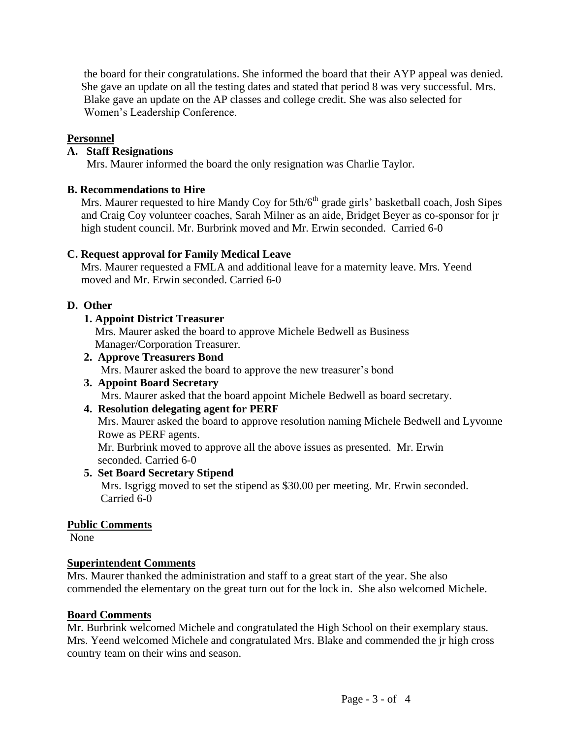the board for their congratulations. She informed the board that their AYP appeal was denied. She gave an update on all the testing dates and stated that period 8 was very successful. Mrs. Blake gave an update on the AP classes and college credit. She was also selected for Women's Leadership Conference.

## **Personnel**

## **A. Staff Resignations**

Mrs. Maurer informed the board the only resignation was Charlie Taylor.

## **B. Recommendations to Hire**

Mrs. Maurer requested to hire Mandy Coy for 5th/6<sup>th</sup> grade girls' basketball coach, Josh Sipes and Craig Coy volunteer coaches, Sarah Milner as an aide, Bridget Beyer as co-sponsor for jr high student council. Mr. Burbrink moved and Mr. Erwin seconded. Carried 6-0

## **C. Request approval for Family Medical Leave**

Mrs. Maurer requested a FMLA and additional leave for a maternity leave. Mrs. Yeend moved and Mr. Erwin seconded. Carried 6-0

## **D. Other**

## **1. Appoint District Treasurer**

Mrs. Maurer asked the board to approve Michele Bedwell as Business Manager/Corporation Treasurer.

 **2. Approve Treasurers Bond** Mrs. Maurer asked the board to approve the new treasurer's bond

#### **3. Appoint Board Secretary** Mrs. Maurer asked that the board appoint Michele Bedwell as board secretary.

## **4. Resolution delegating agent for PERF**

 Mrs. Maurer asked the board to approve resolution naming Michele Bedwell and Lyvonne Rowe as PERF agents.

 Mr. Burbrink moved to approve all the above issues as presented. Mr. Erwin seconded. Carried 6-0

# **5. Set Board Secretary Stipend**

Mrs. Isgrigg moved to set the stipend as \$30.00 per meeting. Mr. Erwin seconded. Carried 6-0

## **Public Comments**

None

## **Superintendent Comments**

Mrs. Maurer thanked the administration and staff to a great start of the year. She also commended the elementary on the great turn out for the lock in. She also welcomed Michele.

## **Board Comments**

Mr. Burbrink welcomed Michele and congratulated the High School on their exemplary staus. Mrs. Yeend welcomed Michele and congratulated Mrs. Blake and commended the jr high cross country team on their wins and season.